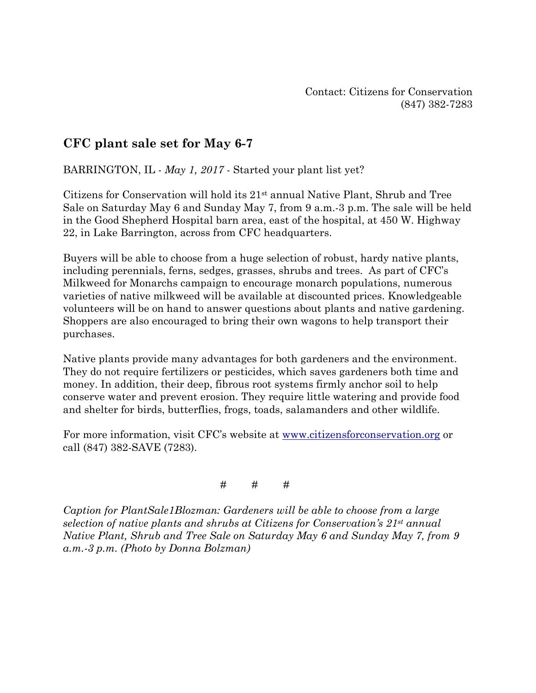## **CFC plant sale set for May 6-7**

BARRINGTON, IL - *May 1, 2017* - Started your plant list yet?

Citizens for Conservation will hold its 21st annual Native Plant, Shrub and Tree Sale on Saturday May 6 and Sunday May 7, from 9 a.m.-3 p.m. The sale will be held in the Good Shepherd Hospital barn area, east of the hospital, at 450 W. Highway 22, in Lake Barrington, across from CFC headquarters.

Buyers will be able to choose from a huge selection of robust, hardy native plants, including perennials, ferns, sedges, grasses, shrubs and trees. As part of CFC's Milkweed for Monarchs campaign to encourage monarch populations, numerous varieties of native milkweed will be available at discounted prices. Knowledgeable volunteers will be on hand to answer questions about plants and native gardening. Shoppers are also encouraged to bring their own wagons to help transport their purchases.

Native plants provide many advantages for both gardeners and the environment. They do not require fertilizers or pesticides, which saves gardeners both time and money. In addition, their deep, fibrous root systems firmly anchor soil to help conserve water and prevent erosion. They require little watering and provide food and shelter for birds, butterflies, frogs, toads, salamanders and other wildlife.

For more information, visit CFC's website at [www.citizensforconservation.org](http://www.citizensforconservation.org/) or call (847) 382-SAVE (7283).

# # #

*Caption for PlantSale1Blozman: Gardeners will be able to choose from a large selection of native plants and shrubs at Citizens for Conservation's 21st annual Native Plant, Shrub and Tree Sale on Saturday May 6 and Sunday May 7, from 9 a.m.-3 p.m. (Photo by Donna Bolzman)*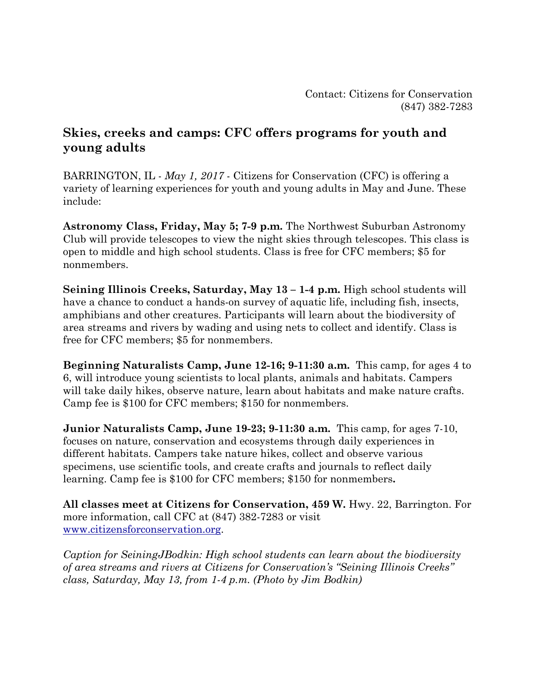## **Skies, creeks and camps: CFC offers programs for youth and young adults**

BARRINGTON, IL - *May 1, 2017* - Citizens for Conservation (CFC) is offering a variety of learning experiences for youth and young adults in May and June. These include:

**Astronomy Class, Friday, May 5; 7-9 p.m.** The Northwest Suburban Astronomy Club will provide telescopes to view the night skies through telescopes. This class is open to middle and high school students. Class is free for CFC members; \$5 for nonmembers.

**Seining Illinois Creeks, Saturday, May 13 – 1-4 p.m.** High school students will have a chance to conduct a hands-on survey of aquatic life, including fish, insects, amphibians and other creatures. Participants will learn about the biodiversity of area streams and rivers by wading and using nets to collect and identify. Class is free for CFC members; \$5 for nonmembers.

**Beginning Naturalists Camp, June 12-16; 9-11:30 a.m.** This camp, for ages 4 to 6, will introduce young scientists to local plants, animals and habitats. Campers will take daily hikes, observe nature, learn about habitats and make nature crafts. Camp fee is \$100 for CFC members; \$150 for nonmembers.

**Junior Naturalists Camp, June 19-23; 9-11:30 a.m.** This camp, for ages 7-10, focuses on nature, conservation and ecosystems through daily experiences in different habitats. Campers take nature hikes, collect and observe various specimens, use scientific tools, and create crafts and journals to reflect daily learning. Camp fee is \$100 for CFC members; \$150 for nonmembers**.** 

**All classes meet at Citizens for Conservation, 459 W.** Hwy. 22, Barrington. For more information, call CFC at (847) 382-7283 or visit [www.citizensforconservation.org.](http://www.citizensforconservation.org/)

*Caption for SeiningJBodkin: High school students can learn about the biodiversity of area streams and rivers at Citizens for Conservation's "Seining Illinois Creeks" class, Saturday, May 13, from 1-4 p.m. (Photo by Jim Bodkin)*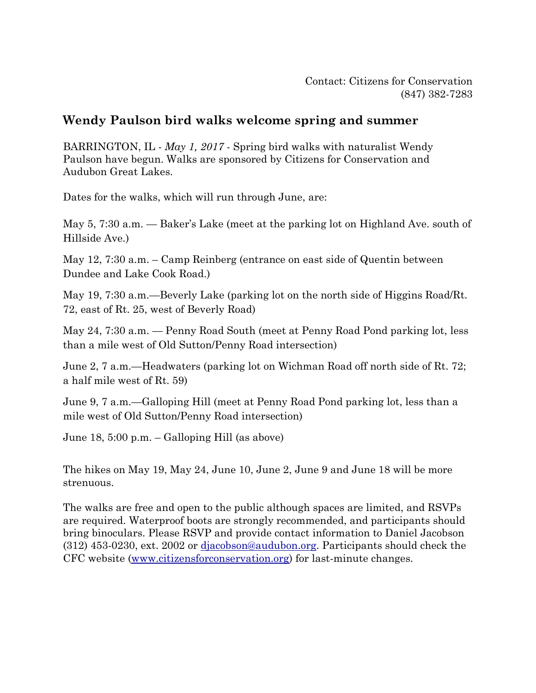## **Wendy Paulson bird walks welcome spring and summer**

BARRINGTON, IL - *May 1, 2017* - Spring bird walks with naturalist Wendy Paulson have begun. Walks are sponsored by Citizens for Conservation and Audubon Great Lakes.

Dates for the walks, which will run through June, are:

May 5, 7:30 a.m. — Baker's Lake (meet at the parking lot on Highland Ave. south of Hillside Ave.)

May 12, 7:30 a.m. – Camp Reinberg (entrance on east side of Quentin between Dundee and Lake Cook Road.)

May 19, 7:30 a.m.—Beverly Lake (parking lot on the north side of Higgins Road/Rt. 72, east of Rt. 25, west of Beverly Road)

May 24, 7:30 a.m. — Penny Road South (meet at Penny Road Pond parking lot, less than a mile west of Old Sutton/Penny Road intersection)

June 2, 7 a.m.—Headwaters (parking lot on Wichman Road off north side of Rt. 72; a half mile west of Rt. 59)

June 9, 7 a.m.—Galloping Hill (meet at Penny Road Pond parking lot, less than a mile west of Old Sutton/Penny Road intersection)

June 18, 5:00 p.m. – Galloping Hill (as above)

The hikes on May 19, May 24, June 10, June 2, June 9 and June 18 will be more strenuous.

The walks are free and open to the public although spaces are limited, and RSVPs are required. Waterproof boots are strongly recommended, and participants should bring binoculars. Please RSVP and provide contact information to Daniel Jacobson (312) 453-0230, ext. 2002 or [djacobson@audubon.org.](mailto:djacobson@audubon.org) Participants should check the CFC website [\(www.citizensforconservation.org\)](http://www.citizensforconservation.org/) for last-minute changes.